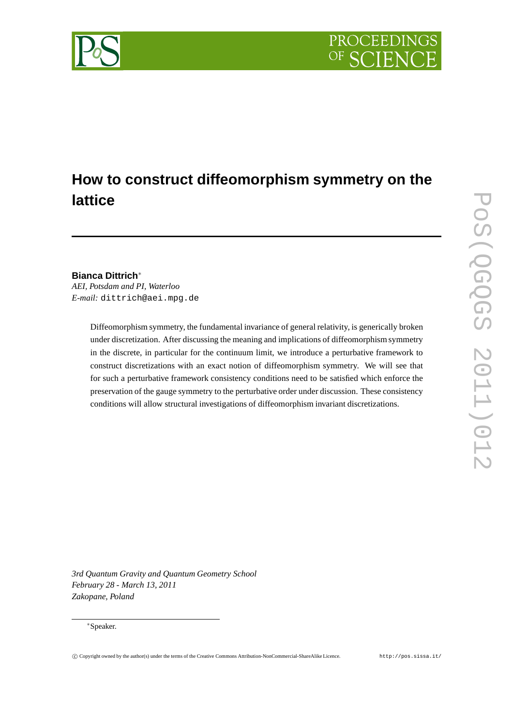

# **How to construct diffeomorphism symmetry on the lattice**

## **Bianca Dittrich**<sup>∗</sup>

*AEI, Potsdam and PI, Waterloo E-mail:* dittrich@aei.mpg.de

> Diffeomorphism symmetry, the fundamental invariance of general relativity, is generically broken under discretization. After discussing the meaning and implications of diffeomorphism symmetry in the discrete, in particular for the continuum limit, we introduce a perturbative framework to construct discretizations with an exact notion of diffeomorphism symmetry. We will see that for such a perturbative framework consistency conditions need to be satisfied which enforce the preservation of the gauge symmetry to the perturbative order under discussion. These consistency conditions will allow structural investigations of diffeomorphism invariant discretizations.

*3rd Quantum Gravity and Quantum Geometry School February 28 - March 13, 2011 Zakopane, Poland*

#### <sup>∗</sup>Speaker.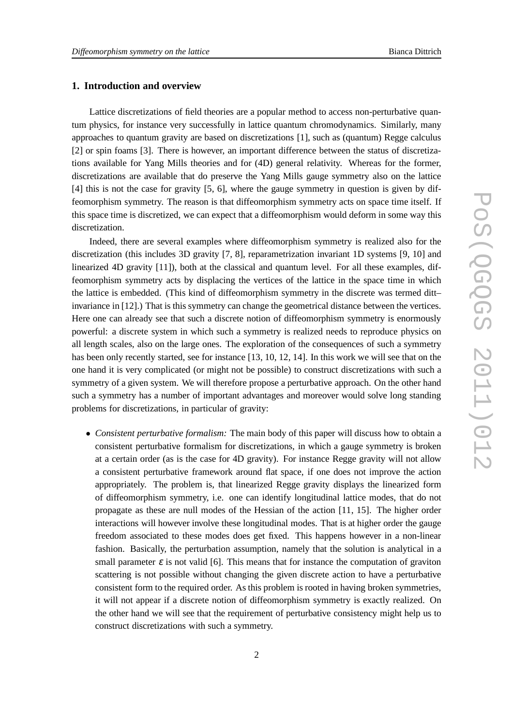#### **1. Introduction and overview**

Lattice discretizations of field theories are a popular method to access non-perturbative quantum physics, for instance very successfully in lattice quantum chromodynamics. Similarly, many approaches to quantum gravity are based on discretizations [1], such as (quantum) Regge calculus [2] or spin foams [3]. There is however, an important difference between the status of discretizations available for Yang Mills theories and for (4D) general relativity. Whereas for the former, discretizations are available that do preserve the Yang Mills gauge symmetry also on the lattice [4] this is not the case for gravity [5, 6], where the gauge symmetry in question is given by diffeomorphism symmetry. The reason is that diffeomorphism symmetry acts on space time itself. If this space time is discretized, we can expect that a diffeomorphism would deform in some way this discretization.

Indeed, there are several examples where diffeomorphism symmetry is realized also for the discretization (this includes 3D gravity [7, 8], reparametrization invariant 1D systems [9, 10] and linearized 4D gravity [11]), both at the classical and quantum level. For all these examples, diffeomorphism symmetry acts by displacing the vertices of the lattice in the space time in which the lattice is embedded. (This kind of diffeomorphism symmetry in the discrete was termed ditt– invariance in [12].) That is this symmetry can change the geometrical distance between the vertices. Here one can already see that such a discrete notion of diffeomorphism symmetry is enormously powerful: a discrete system in which such a symmetry is realized needs to reproduce physics on all length scales, also on the large ones. The exploration of the consequences of such a symmetry has been only recently started, see for instance [13, 10, 12, 14]. In this work we will see that on the one hand it is very complicated (or might not be possible) to construct discretizations with such a symmetry of a given system. We will therefore propose a perturbative approach. On the other hand such a symmetry has a number of important advantages and moreover would solve long standing problems for discretizations, in particular of gravity:

• *Consistent perturbative formalism:* The main body of this paper will discuss how to obtain a consistent perturbative formalism for discretizations, in which a gauge symmetry is broken at a certain order (as is the case for 4D gravity). For instance Regge gravity will not allow a consistent perturbative framework around flat space, if one does not improve the action appropriately. The problem is, that linearized Regge gravity displays the linearized form of diffeomorphism symmetry, i.e. one can identify longitudinal lattice modes, that do not propagate as these are null modes of the Hessian of the action [11, 15]. The higher order interactions will however involve these longitudinal modes. That is at higher order the gauge freedom associated to these modes does get fixed. This happens however in a non-linear fashion. Basically, the perturbation assumption, namely that the solution is analytical in a small parameter  $\varepsilon$  is not valid [6]. This means that for instance the computation of graviton scattering is not possible without changing the given discrete action to have a perturbative consistent form to the required order. As this problem is rooted in having broken symmetries, it will not appear if a discrete notion of diffeomorphism symmetry is exactly realized. On the other hand we will see that the requirement of perturbative consistency might help us to construct discretizations with such a symmetry.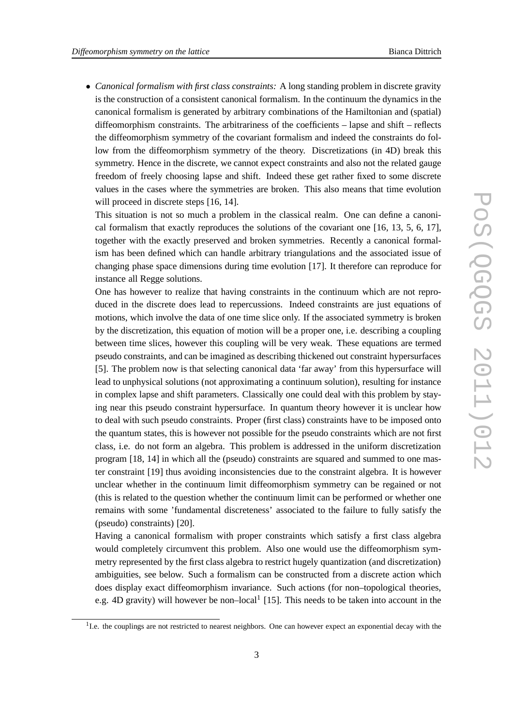• *Canonical formalism with first class constraints:* A long standing problem in discrete gravity is the construction of a consistent canonical formalism. In the continuum the dynamics in the canonical formalism is generated by arbitrary combinations of the Hamiltonian and (spatial) diffeomorphism constraints. The arbitrariness of the coefficients – lapse and shift – reflects the diffeomorphism symmetry of the covariant formalism and indeed the constraints do follow from the diffeomorphism symmetry of the theory. Discretizations (in 4D) break this symmetry. Hence in the discrete, we cannot expect constraints and also not the related gauge freedom of freely choosing lapse and shift. Indeed these get rather fixed to some discrete values in the cases where the symmetries are broken. This also means that time evolution will proceed in discrete steps [16, 14].

This situation is not so much a problem in the classical realm. One can define a canonical formalism that exactly reproduces the solutions of the covariant one [16, 13, 5, 6, 17], together with the exactly preserved and broken symmetries. Recently a canonical formalism has been defined which can handle arbitrary triangulations and the associated issue of changing phase space dimensions during time evolution [17]. It therefore can reproduce for instance all Regge solutions.

One has however to realize that having constraints in the continuum which are not reproduced in the discrete does lead to repercussions. Indeed constraints are just equations of motions, which involve the data of one time slice only. If the associated symmetry is broken by the discretization, this equation of motion will be a proper one, i.e. describing a coupling between time slices, however this coupling will be very weak. These equations are termed pseudo constraints, and can be imagined as describing thickened out constraint hypersurfaces [5]. The problem now is that selecting canonical data 'far away' from this hypersurface will lead to unphysical solutions (not approximating a continuum solution), resulting for instance in complex lapse and shift parameters. Classically one could deal with this problem by staying near this pseudo constraint hypersurface. In quantum theory however it is unclear how to deal with such pseudo constraints. Proper (first class) constraints have to be imposed onto the quantum states, this is however not possible for the pseudo constraints which are not first class, i.e. do not form an algebra. This problem is addressed in the uniform discretization program [18, 14] in which all the (pseudo) constraints are squared and summed to one master constraint [19] thus avoiding inconsistencies due to the constraint algebra. It is however unclear whether in the continuum limit diffeomorphism symmetry can be regained or not (this is related to the question whether the continuum limit can be performed or whether one remains with some 'fundamental discreteness' associated to the failure to fully satisfy the (pseudo) constraints) [20].

Having a canonical formalism with proper constraints which satisfy a first class algebra would completely circumvent this problem. Also one would use the diffeomorphism symmetry represented by the first class algebra to restrict hugely quantization (and discretization) ambiguities, see below. Such a formalism can be constructed from a discrete action which does display exact diffeomorphism invariance. Such actions (for non–topological theories, e.g. 4D gravity) will however be non-local<sup>1</sup> [15]. This needs to be taken into account in the

<sup>&</sup>lt;sup>1</sup>I.e. the couplings are not restricted to nearest neighbors. One can however expect an exponential decay with the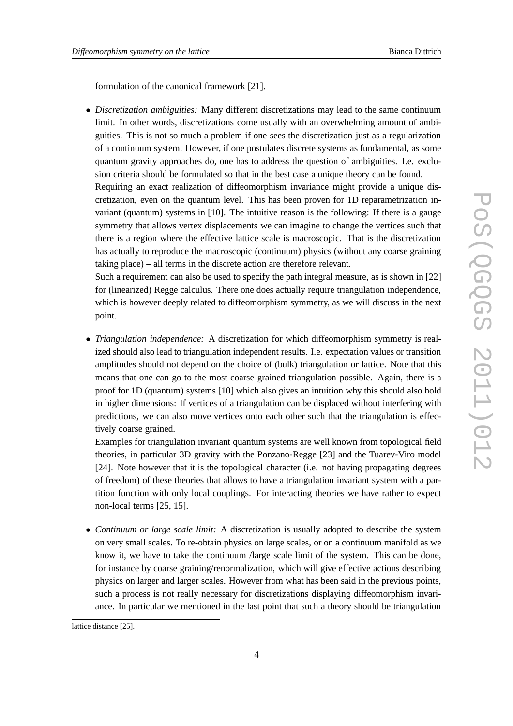formulation of the canonical framework [21].

• *Discretization ambiguities:* Many different discretizations may lead to the same continuum limit. In other words, discretizations come usually with an overwhelming amount of ambiguities. This is not so much a problem if one sees the discretization just as a regularization of a continuum system. However, if one postulates discrete systems as fundamental, as some quantum gravity approaches do, one has to address the question of ambiguities. I.e. exclusion criteria should be formulated so that in the best case a unique theory can be found. Requiring an exact realization of diffeomorphism invariance might provide a unique discretization, even on the quantum level. This has been proven for 1D reparametrization invariant (quantum) systems in [10]. The intuitive reason is the following: If there is a gauge symmetry that allows vertex displacements we can imagine to change the vertices such that there is a region where the effective lattice scale is macroscopic. That is the discretization has actually to reproduce the macroscopic (continuum) physics (without any coarse graining taking place) – all terms in the discrete action are therefore relevant.

Such a requirement can also be used to specify the path integral measure, as is shown in [22] for (linearized) Regge calculus. There one does actually require triangulation independence, which is however deeply related to diffeomorphism symmetry, as we will discuss in the next point.

• *Triangulation independence:* A discretization for which diffeomorphism symmetry is realized should also lead to triangulation independent results. I.e. expectation values or transition amplitudes should not depend on the choice of (bulk) triangulation or lattice. Note that this means that one can go to the most coarse grained triangulation possible. Again, there is a proof for 1D (quantum) systems [10] which also gives an intuition why this should also hold in higher dimensions: If vertices of a triangulation can be displaced without interfering with predictions, we can also move vertices onto each other such that the triangulation is effectively coarse grained.

Examples for triangulation invariant quantum systems are well known from topological field theories, in particular 3D gravity with the Ponzano-Regge [23] and the Tuarev-Viro model [24]. Note however that it is the topological character (i.e. not having propagating degrees of freedom) of these theories that allows to have a triangulation invariant system with a partition function with only local couplings. For interacting theories we have rather to expect non-local terms [25, 15].

• *Continuum or large scale limit:* A discretization is usually adopted to describe the system on very small scales. To re-obtain physics on large scales, or on a continuum manifold as we know it, we have to take the continuum /large scale limit of the system. This can be done, for instance by coarse graining/renormalization, which will give effective actions describing physics on larger and larger scales. However from what has been said in the previous points, such a process is not really necessary for discretizations displaying diffeomorphism invariance. In particular we mentioned in the last point that such a theory should be triangulation

lattice distance [25].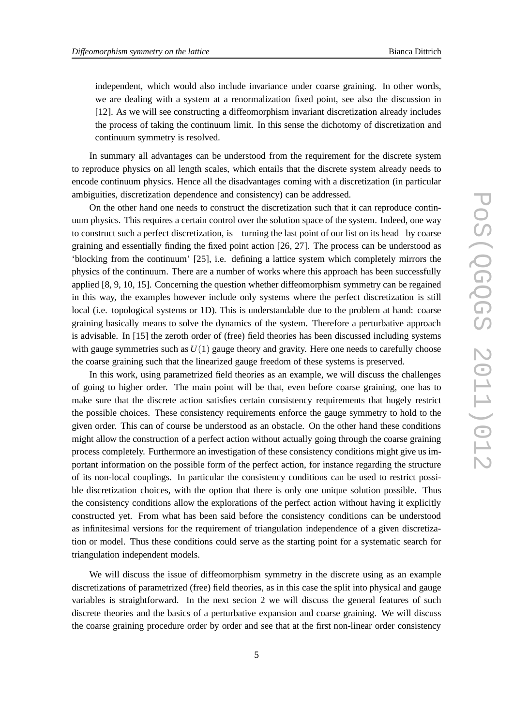independent, which would also include invariance under coarse graining. In other words, we are dealing with a system at a renormalization fixed point, see also the discussion in [12]. As we will see constructing a diffeomorphism invariant discretization already includes the process of taking the continuum limit. In this sense the dichotomy of discretization and continuum symmetry is resolved.

In summary all advantages can be understood from the requirement for the discrete system to reproduce physics on all length scales, which entails that the discrete system already needs to encode continuum physics. Hence all the disadvantages coming with a discretization (in particular ambiguities, discretization dependence and consistency) can be addressed.

On the other hand one needs to construct the discretization such that it can reproduce continuum physics. This requires a certain control over the solution space of the system. Indeed, one way to construct such a perfect discretization, is – turning the last point of our list on its head –by coarse graining and essentially finding the fixed point action [26, 27]. The process can be understood as 'blocking from the continuum' [25], i.e. defining a lattice system which completely mirrors the physics of the continuum. There are a number of works where this approach has been successfully applied [8, 9, 10, 15]. Concerning the question whether diffeomorphism symmetry can be regained in this way, the examples however include only systems where the perfect discretization is still local (i.e. topological systems or 1D). This is understandable due to the problem at hand: coarse graining basically means to solve the dynamics of the system. Therefore a perturbative approach is advisable. In [15] the zeroth order of (free) field theories has been discussed including systems with gauge symmetries such as  $U(1)$  gauge theory and gravity. Here one needs to carefully choose the coarse graining such that the linearized gauge freedom of these systems is preserved.

In this work, using parametrized field theories as an example, we will discuss the challenges of going to higher order. The main point will be that, even before coarse graining, one has to make sure that the discrete action satisfies certain consistency requirements that hugely restrict the possible choices. These consistency requirements enforce the gauge symmetry to hold to the given order. This can of course be understood as an obstacle. On the other hand these conditions might allow the construction of a perfect action without actually going through the coarse graining process completely. Furthermore an investigation of these consistency conditions might give us important information on the possible form of the perfect action, for instance regarding the structure of its non-local couplings. In particular the consistency conditions can be used to restrict possible discretization choices, with the option that there is only one unique solution possible. Thus the consistency conditions allow the explorations of the perfect action without having it explicitly constructed yet. From what has been said before the consistency conditions can be understood as infinitesimal versions for the requirement of triangulation independence of a given discretization or model. Thus these conditions could serve as the starting point for a systematic search for triangulation independent models.

We will discuss the issue of diffeomorphism symmetry in the discrete using as an example discretizations of parametrized (free) field theories, as in this case the split into physical and gauge variables is straightforward. In the next secion 2 we will discuss the general features of such discrete theories and the basics of a perturbative expansion and coarse graining. We will discuss the coarse graining procedure order by order and see that at the first non-linear order consistency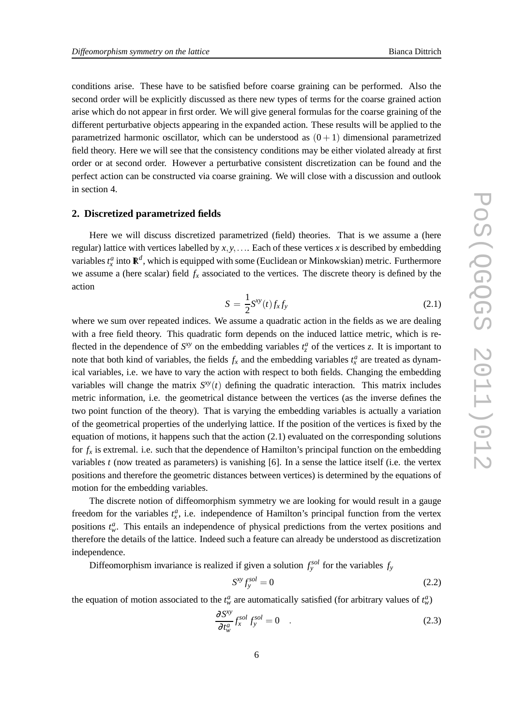conditions arise. These have to be satisfied before coarse graining can be performed. Also the second order will be explicitly discussed as there new types of terms for the coarse grained action arise which do not appear in first order. We will give general formulas for the coarse graining of the different perturbative objects appearing in the expanded action. These results will be applied to the parametrized harmonic oscillator, which can be understood as  $(0+1)$  dimensional parametrized field theory. Here we will see that the consistency conditions may be either violated already at first order or at second order. However a perturbative consistent discretization can be found and the perfect action can be constructed via coarse graining. We will close with a discussion and outlook in section 4.

#### **2. Discretized parametrized fields**

Here we will discuss discretized parametrized (field) theories. That is we assume a (here regular) lattice with vertices labelled by  $x, y, \ldots$  Each of these vertices  $x$  is described by embedding variables  $t_x^a$  into  $\mathbb{R}^d$ , which is equipped with some (Euclidean or Minkowskian) metric. Furthermore we assume a (here scalar) field  $f<sub>x</sub>$  associated to the vertices. The discrete theory is defined by the action

$$
S = \frac{1}{2}S^{xy}(t)f_xf_y \tag{2.1}
$$

where we sum over repeated indices. We assume a quadratic action in the fields as we are dealing with a free field theory. This quadratic form depends on the induced lattice metric, which is reflected in the dependence of  $S^{xy}$  on the embedding variables  $t^a_z$  of the vertices *z*. It is important to note that both kind of variables, the fields  $f_x$  and the embedding variables  $t_x^a$  are treated as dynamical variables, i.e. we have to vary the action with respect to both fields. Changing the embedding variables will change the matrix  $S^{xy}(t)$  defining the quadratic interaction. This matrix includes metric information, i.e. the geometrical distance between the vertices (as the inverse defines the two point function of the theory). That is varying the embedding variables is actually a variation of the geometrical properties of the underlying lattice. If the position of the vertices is fixed by the equation of motions, it happens such that the action (2.1) evaluated on the corresponding solutions for  $f<sub>x</sub>$  is extremal. i.e. such that the dependence of Hamilton's principal function on the embedding variables *t* (now treated as parameters) is vanishing [6]. In a sense the lattice itself (i.e. the vertex positions and therefore the geometric distances between vertices) is determined by the equations of motion for the embedding variables.

The discrete notion of diffeomorphism symmetry we are looking for would result in a gauge freedom for the variables  $t^a_x$ , i.e. independence of Hamilton's principal function from the vertex positions  $t_w^a$ . This entails an independence of physical predictions from the vertex positions and therefore the details of the lattice. Indeed such a feature can already be understood as discretization independence.

Diffeomorphism invariance is realized if given a solution  $f_y^{sol}$  for the variables  $f_y$ 

$$
S^{xy} f_y^{sol} = 0 \tag{2.2}
$$

the equation of motion associated to the  $t_w^a$  are automatically satisfied (for arbitrary values of  $t_w^a$ )

$$
\frac{\partial S^{xy}}{\partial t_w^a} f_x^{sol} f_y^{sol} = 0 \quad . \tag{2.3}
$$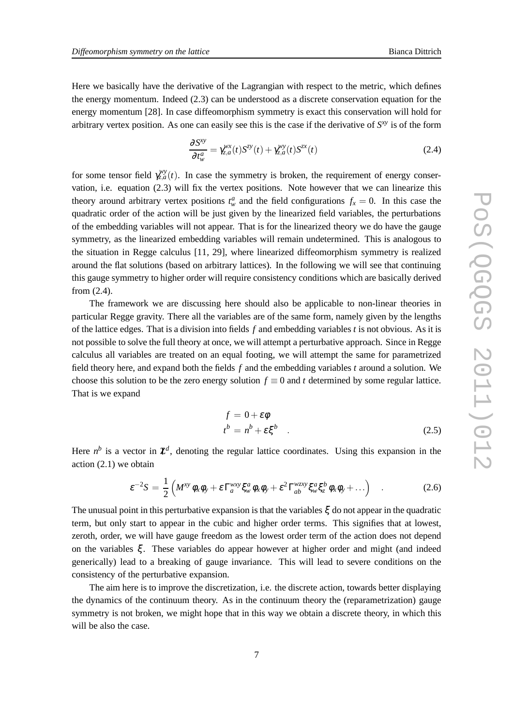Here we basically have the derivative of the Lagrangian with respect to the metric, which defines the energy momentum. Indeed (2.3) can be understood as a discrete conservation equation for the energy momentum [28]. In case diffeomorphism symmetry is exact this conservation will hold for arbitrary vertex position. As one can easily see this is the case if the derivative of *S xy* is of the form

$$
\frac{\partial S^{xy}}{\partial t_w^a} = \gamma_{z,a}^{wx}(t) S^{zy}(t) + \gamma_{z,a}^{wy}(t) S^{zx}(t)
$$
\n(2.4)

for some tensor field  $\gamma_{z,a}^{wy}(t)$ . In case the symmetry is broken, the requirement of energy conservation, i.e. equation (2.3) will fix the vertex positions. Note however that we can linearize this theory around arbitrary vertex positions  $t_w^a$  and the field configurations  $f_x = 0$ . In this case the quadratic order of the action will be just given by the linearized field variables, the perturbations of the embedding variables will not appear. That is for the linearized theory we do have the gauge symmetry, as the linearized embedding variables will remain undetermined. This is analogous to the situation in Regge calculus [11, 29], where linearized diffeomorphism symmetry is realized around the flat solutions (based on arbitrary lattices). In the following we will see that continuing this gauge symmetry to higher order will require consistency conditions which are basically derived from (2.4).

The framework we are discussing here should also be applicable to non-linear theories in particular Regge gravity. There all the variables are of the same form, namely given by the lengths of the lattice edges. That is a division into fields *f* and embedding variables *t* is not obvious. As it is not possible to solve the full theory at once, we will attempt a perturbative approach. Since in Regge calculus all variables are treated on an equal footing, we will attempt the same for parametrized field theory here, and expand both the fields *f* and the embedding variables *t* around a solution. We choose this solution to be the zero energy solution  $f \equiv 0$  and *t* determined by some regular lattice. That is we expand

$$
f = 0 + \varepsilon \phi
$$
  
\n
$$
t^b = n^b + \varepsilon \xi^b
$$
 (2.5)

Here  $n^b$  is a vector in  $\mathbb{Z}^d$ , denoting the regular lattice coordinates. Using this expansion in the action (2.1) we obtain

$$
\varepsilon^{-2}S = \frac{1}{2}\left(M^{xy}\phi_x\phi_y + \varepsilon\,\Gamma_a^{wxy}\xi_w^a\phi_x\phi_y + \varepsilon^2\,\Gamma_{ab}^{wzy}\xi_a^a\xi_b^b\phi_x\phi_y + \ldots\right) \quad . \tag{2.6}
$$

The unusual point in this perturbative expansion is that the variables  $\xi$  do not appear in the quadratic term, but only start to appear in the cubic and higher order terms. This signifies that at lowest, zeroth, order, we will have gauge freedom as the lowest order term of the action does not depend on the variables  $\xi$ . These variables do appear however at higher order and might (and indeed generically) lead to a breaking of gauge invariance. This will lead to severe conditions on the consistency of the perturbative expansion.

The aim here is to improve the discretization, i.e. the discrete action, towards better displaying the dynamics of the continuum theory. As in the continuum theory the (reparametrization) gauge symmetry is not broken, we might hope that in this way we obtain a discrete theory, in which this will be also the case.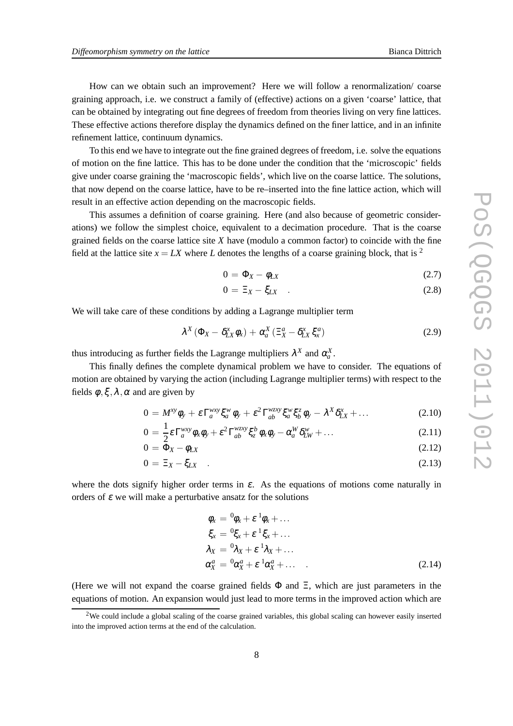How can we obtain such an improvement? Here we will follow a renormalization/ coarse graining approach, i.e. we construct a family of (effective) actions on a given 'coarse' lattice, that can be obtained by integrating out fine degrees of freedom from theories living on very fine lattices. These effective actions therefore display the dynamics defined on the finer lattice, and in an infinite refinement lattice, continuum dynamics.

To this end we have to integrate out the fine grained degrees of freedom, i.e. solve the equations of motion on the fine lattice. This has to be done under the condition that the 'microscopic' fields give under coarse graining the 'macroscopic fields', which live on the coarse lattice. The solutions, that now depend on the coarse lattice, have to be re–inserted into the fine lattice action, which will result in an effective action depending on the macroscopic fields.

This assumes a definition of coarse graining. Here (and also because of geometric considerations) we follow the simplest choice, equivalent to a decimation procedure. That is the coarse grained fields on the coarse lattice site *X* have (modulo a common factor) to coincide with the fine field at the lattice site  $x = LX$  where *L* denotes the lengths of a coarse graining block, that is <sup>2</sup>

$$
0 = \Phi_X - \phi_{LX} \tag{2.7}
$$

$$
0 = \Xi_X - \xi_{LX} \quad . \tag{2.8}
$$

We will take care of these conditions by adding a Lagrange multiplier term

$$
\lambda^X \left( \Phi_X - \delta_{LX}^x \phi_x \right) + \alpha_a^X \left( \Xi_X^a - \delta_{LX}^x \xi_x^a \right) \tag{2.9}
$$

thus introducing as further fields the Lagrange multipliers  $\lambda^X$  and  $\alpha^X_a$ .

This finally defines the complete dynamical problem we have to consider. The equations of motion are obtained by varying the action (including Lagrange multiplier terms) with respect to the fields  $\phi$ ,  $\xi$ ,  $\lambda$ ,  $\alpha$  and are given by

$$
0 = M^{xy} \phi_y + \varepsilon \Gamma_a^{wxy} \xi_a^w \phi_y + \varepsilon^2 \Gamma_{ab}^{wzy} \xi_a^w \xi_b^z \phi_y - \lambda^X \delta_{LX}^x + \dots \qquad (2.10)
$$

$$
0 = \frac{1}{2} \varepsilon \Gamma_a^{wxy} \phi_x \phi_y + \varepsilon^2 \Gamma_{ab}^{wzy} \xi_z^b \phi_x \phi_y - \alpha_a^W \delta_{LW}^w + \dots \qquad (2.11)
$$

$$
0 = \bar{\Phi}_X - \phi_{LX} \tag{2.12}
$$

$$
0 = \Xi_X - \xi_{LX} \quad . \tag{2.13}
$$

where the dots signify higher order terms in  $\varepsilon$ . As the equations of motions come naturally in orders of  $\varepsilon$  we will make a perturbative ansatz for the solutions

$$
\begin{aligned}\n\phi_x &= {}^0\phi_x + \varepsilon {}^1\phi_x + \dots \\
\xi_x &= {}^0\xi_x + \varepsilon {}^1\xi_x + \dots \\
\lambda_X &= {}^0\lambda_X + \varepsilon {}^1\lambda_X + \dots \\
\alpha_X^a &= {}^0\alpha_X^a + \varepsilon {}^1\alpha_X^a + \dots\n\end{aligned} \tag{2.14}
$$

(Here we will not expand the coarse grained fields  $\Phi$  and  $\Xi$ , which are just parameters in the equations of motion. An expansion would just lead to more terms in the improved action which are

 $2$ We could include a global scaling of the coarse grained variables, this global scaling can however easily inserted into the improved action terms at the end of the calculation.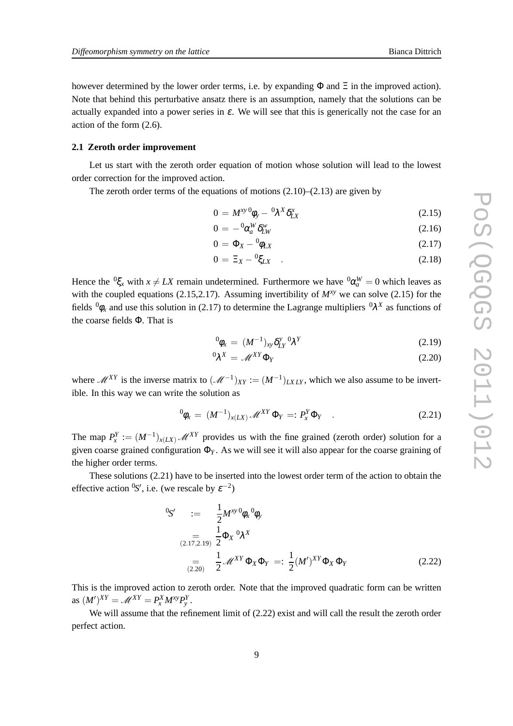however determined by the lower order terms, i.e. by expanding  $\Phi$  and  $\Xi$  in the improved action). Note that behind this perturbative ansatz there is an assumption, namely that the solutions can be actually expanded into a power series in  $\varepsilon$ . We will see that this is generically not the case for an action of the form (2.6).

#### **2.1 Zeroth order improvement**

Let us start with the zeroth order equation of motion whose solution will lead to the lowest order correction for the improved action.

The zeroth order terms of the equations of motions  $(2.10)$ – $(2.13)$  are given by

$$
0 = M^{xy} \phi_y - {}^0\lambda^X \delta^x_{LX}
$$
 (2.15)

$$
0 = -{}^{0}\alpha_{a}^{W}\delta_{LW}^{w} \tag{2.16}
$$

$$
0 = \Phi_X - {}^0\phi_{LX} \tag{2.17}
$$

$$
0 = \Xi_X - {}^0\sharp_{LX} \quad . \tag{2.18}
$$

Hence the  ${}^0 \xi_x$  with  $x \neq LX$  remain undetermined. Furthermore we have  ${}^0 \alpha_a^W = 0$  which leaves as with the coupled equations (2.15,2.17). Assuming invertibility of *Mxy* we can solve (2.15) for the fields  ${}^{0}\phi_x$  and use this solution in (2.17) to determine the Lagrange multipliers  ${}^{0}\lambda^X$  as functions of the coarse fields Φ. That is

$$
{}^{0}\phi_{x} = (M^{-1})_{xy} \delta_{LY}^{y} {}^{0}\lambda^{Y}
$$
 (2.19)

$$
{}^{0}\lambda^{X} = \mathscr{M}^{XY} \Phi_{Y}
$$
 (2.20)

where  $\mathcal{M}^{XY}$  is the inverse matrix to  $(\mathcal{M}^{-1})_{XY} := (M^{-1})_{LX LY}$ , which we also assume to be invertible. In this way we can write the solution as

$$
{}^{0}\phi_{x} = (M^{-1})_{x(LX)} \mathscr{M}^{XY} \Phi_{Y} =: P_{x}^{Y} \Phi_{Y} \quad . \tag{2.21}
$$

The map  $P_x^Y := (M^{-1})_{x(LX)}$  *M*<sup>XY</sup> provides us with the fine grained (zeroth order) solution for a given coarse grained configuration Φ*<sup>Y</sup>* . As we will see it will also appear for the coarse graining of the higher order terms.

These solutions (2.21) have to be inserted into the lowest order term of the action to obtain the effective action <sup>0</sup>S', i.e. (we rescale by  $\varepsilon^{-2}$ )

$$
{}^{0}S' := \frac{1}{2} M^{xy} {}^{0}\phi_{x} {}^{0}\phi_{y}
$$
  
\n
$$
{}^{(2.17,2.19)} \frac{1}{2} \Phi_{X} {}^{0}\lambda^{X}
$$
  
\n
$$
= \frac{1}{(2.20)} \frac{1}{2} \mathscr{M}^{XY} \Phi_{X} \Phi_{Y} =: \frac{1}{2} (M')^{XY} \Phi_{X} \Phi_{Y}
$$
  
\n(2.22)

This is the improved action to zeroth order. Note that the improved quadratic form can be written as  $(M')^{XY} = \mathcal{M}^{XY} = P_x^X M^{xy} P_y^Y$ .

We will assume that the refinement limit of (2.22) exist and will call the result the zeroth order perfect action.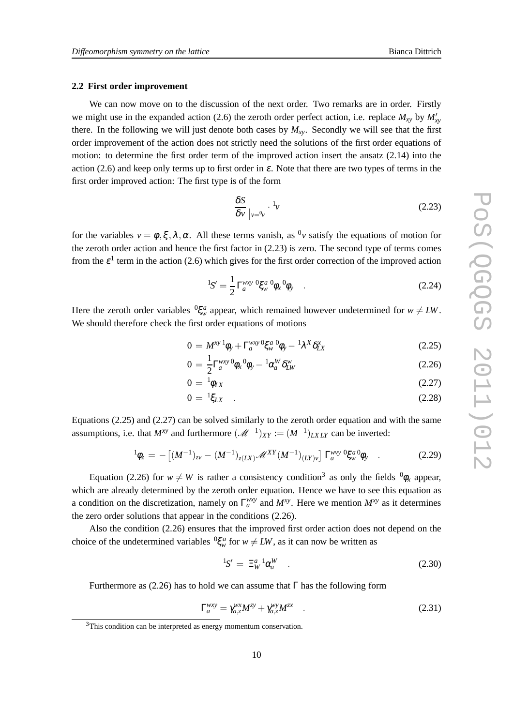#### **2.2 First order improvement**

We can now move on to the discussion of the next order. Two remarks are in order. Firstly we might use in the expanded action (2.6) the zeroth order perfect action, i.e. replace  $M_{xy}$  by  $M'_{xy}$ there. In the following we will just denote both cases by  $M_{xy}$ . Secondly we will see that the first order improvement of the action does not strictly need the solutions of the first order equations of motion: to determine the first order term of the improved action insert the ansatz (2.14) into the action (2.6) and keep only terms up to first order in  $\varepsilon$ . Note that there are two types of terms in the first order improved action: The first type is of the form

$$
\frac{\delta S}{\delta v}\Big|_{v=0_v} \cdot {}^{1}_v \tag{2.23}
$$

for the variables  $v = \phi, \xi, \lambda, \alpha$ . All these terms vanish, as <sup>0</sup>*v* satisfy the equations of motion for the zeroth order action and hence the first factor in (2.23) is zero. The second type of terms comes from the  $\varepsilon^1$  term in the action (2.6) which gives for the first order correction of the improved action

$$
{}^{1}S' = \frac{1}{2} \Gamma_{a}^{wxy} {}^{0} \xi_{w} {}^{0} \phi_{x} {}^{0} \phi_{y} . \qquad (2.24)
$$

Here the zeroth order variables  ${}^{0}\xi_{w}^{a}$  appear, which remained however undetermined for  $w \neq LW$ . We should therefore check the first order equations of motions

$$
0 = M^{xy} \, \mathbf{1}_{\phi_y} + \Gamma_a^{wxy} \, \mathbf{0}_{\mathbf{S}_w}^{\alpha} \, \mathbf{0}_{\phi_y} - \mathbf{1}_{\lambda}^X \, \mathbf{0}_{\mathbf{L}X}^{\alpha} \tag{2.25}
$$

$$
0 = \frac{1}{2} \Gamma_a^{wxy} \phi_x \phi_y - \alpha_a^W \delta_{LW}^w \tag{2.26}
$$

$$
0 = {}^{1}\phi_{LX} \tag{2.27}
$$

$$
0 = {}^{1}\xi_{LX} \quad . \tag{2.28}
$$

Equations (2.25) and (2.27) can be solved similarly to the zeroth order equation and with the same assumptions, i.e. that  $M^{xy}$  and furthermore  $(M^{-1})_{XY} := (M^{-1})_{LXLY}$  can be inverted:

$$
{}^{1}\phi_{z} = -\left[ (M^{-1})_{zv} - (M^{-1})_{z(LX)} \mathscr{M}^{XY}(M^{-1})_{(LY)v} \right] \Gamma_{a}^{wvy} {}^{0}\xi_{w}^{a} \phi_{y} \quad . \tag{2.29}
$$

Equation (2.26) for  $w \neq W$  is rather a consistency condition<sup>3</sup> as only the fields  ${}^{0}\phi_x$  appear, which are already determined by the zeroth order equation. Hence we have to see this equation as a condition on the discretization, namely on  $\Gamma_a^{wxy}$  and  $M^{xy}$ . Here we mention  $M^{xy}$  as it determines the zero order solutions that appear in the conditions (2.26).

Also the condition (2.26) ensures that the improved first order action does not depend on the choice of the undetermined variables  ${}^{0}\xi_{w}^{a}$  for  $w \neq LW$ , as it can now be written as

$$
{}^{1}S' = \Xi_W^{a} {}^{1} \alpha_a^W \quad . \tag{2.30}
$$

Furthermore as (2.26) has to hold we can assume that  $\Gamma$  has the following form

$$
\Gamma_a^{wxy} = \gamma_{a,z}^{wx} M^{zy} + \gamma_{a,z}^{wy} M^{zx} \quad . \tag{2.31}
$$

<sup>&</sup>lt;sup>3</sup>This condition can be interpreted as energy momentum conservation.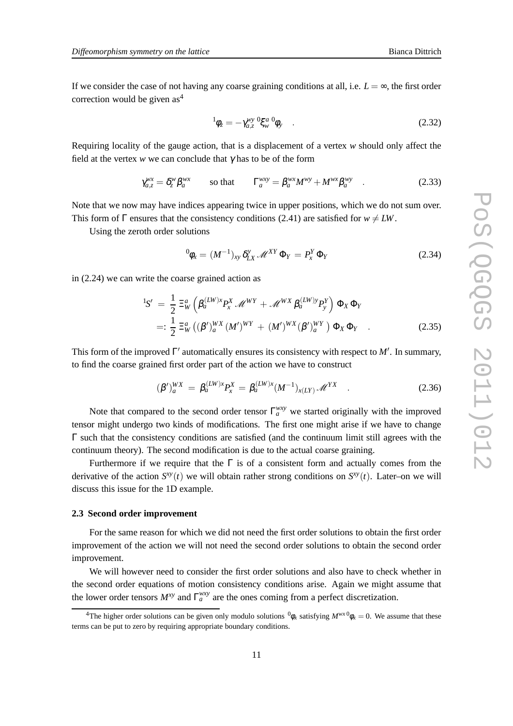If we consider the case of not having any coarse graining conditions at all, i.e.  $L = \infty$ , the first order correction would be given  $as<sup>4</sup>$ 

$$
{}^{1}\phi_{z} = -\gamma_{a,z}^{wy} \, {}^{0}\xi_{w}{}^{a} \phi_{y} \quad . \tag{2.32}
$$

Requiring locality of the gauge action, that is a displacement of a vertex *w* should only affect the field at the vertex  $w$  we can conclude that  $\gamma$  has to be of the form

$$
\gamma_{a,z}^{wx} = \delta_z^w \beta_a^{wx} \qquad \text{so that} \qquad \Gamma_a^{wxy} = \beta_a^{wx} M^{wy} + M^{wx} \beta_a^{wy} \qquad . \tag{2.33}
$$

Note that we now may have indices appearing twice in upper positions, which we do not sum over. This form of  $\Gamma$  ensures that the consistency conditions (2.41) are satisfied for  $w \neq LW$ .

Using the zeroth order solutions

$$
{}^{0}\phi_{x} = (M^{-1})_{xy} \, \delta_{LX}^{y} \, \mathscr{M}^{XY} \, \Phi_{Y} = P_{x}^{Y} \, \Phi_{Y} \tag{2.34}
$$

in (2.24) we can write the coarse grained action as

$$
{}^{1}S' = \frac{1}{2} \Xi_{W}^{a} \left( \beta_{a}^{(LW)x} P_{x}^{X} \mathcal{M}^{WY} + \mathcal{M}^{WX} \beta_{a}^{(LW)y} P_{y}^{Y} \right) \Phi_{X} \Phi_{Y}
$$
  

$$
=: \frac{1}{2} \Xi_{W}^{a} \left( (\beta')_{a}^{WX} (M')^{WY} + (M')^{WX} (\beta')_{a}^{WY} \right) \Phi_{X} \Phi_{Y}
$$
(2.35)

This form of the improved  $\Gamma'$  automatically ensures its consistency with respect to  $M'$ . In summary, to find the coarse grained first order part of the action we have to construct

$$
(\beta')_a^{WX} = \beta_a^{(LW)x} P_x^X = \beta_a^{(LW)x} (M^{-1})_{x(LY)} \mathscr{M}^{YX} \quad . \tag{2.36}
$$

Note that compared to the second order tensor  $\Gamma_a^{wxy}$  we started originally with the improved tensor might undergo two kinds of modifications. The first one might arise if we have to change  $\Gamma$  such that the consistency conditions are satisfied (and the continuum limit still agrees with the continuum theory). The second modification is due to the actual coarse graining.

Furthermore if we require that the  $\Gamma$  is of a consistent form and actually comes from the derivative of the action  $S^{xy}(t)$  we will obtain rather strong conditions on  $S^{xy}(t)$ . Later–on we will discuss this issue for the 1D example.

#### **2.3 Second order improvement**

For the same reason for which we did not need the first order solutions to obtain the first order improvement of the action we will not need the second order solutions to obtain the second order improvement.

We will however need to consider the first order solutions and also have to check whether in the second order equations of motion consistency conditions arise. Again we might assume that the lower order tensors  $M^{xy}$  and  $\Gamma_a^{wxy}$  are the ones coming from a perfect discretization.

<sup>&</sup>lt;sup>4</sup>The higher order solutions can be given only modulo solutions  ${}^0\phi_x$  satisfying  $M^{wx}{}^0\phi_x = 0$ . We assume that these terms can be put to zero by requiring appropriate boundary conditions.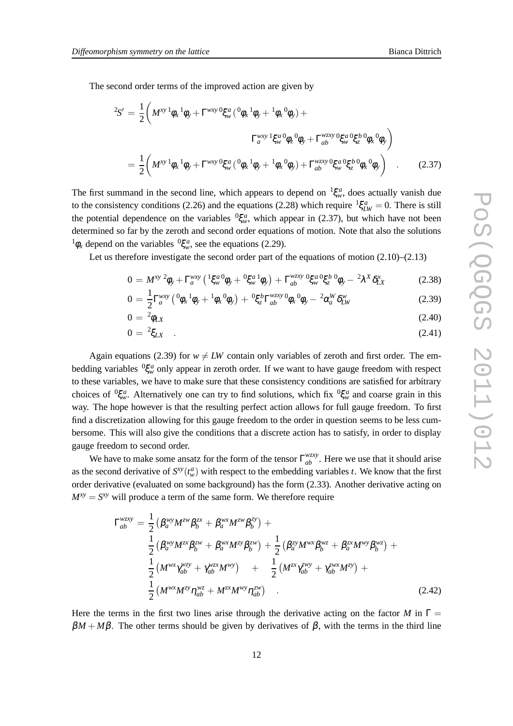The second order terms of the improved action are given by

$$
{}^{2}S' = \frac{1}{2} \left( M^{xy} {}^{1} \phi_{x} {}^{1} \phi_{y} + \Gamma^{wxy} {}^{0} \xi_{w}^{a} ({}^{0} \phi_{x} {}^{1} \phi_{y} + {}^{1} \phi_{x} {}^{0} \phi_{y}) + \right.
$$
  

$$
{}_{a}^{wxy} {}^{1} \xi_{w}^{a} {}^{0} \phi_{z} {}^{0} \phi_{y} + \Gamma^{wzy} {}^{0} \xi_{w}^{a} {}^{0} \xi_{z}^{b} {}^{0} \phi_{x} {}^{0} \phi_{y})
$$

$$
= \frac{1}{2} \left( M^{xy} {}^{1} \phi_{x} {}^{1} \phi_{y} + \Gamma^{wxy} {}^{0} \xi_{w}^{a} ({}^{0} \phi_{x} {}^{1} \phi_{y} + {}^{1} \phi_{x} {}^{0} \phi_{y}) + \Gamma^{wzy} {}^{0} \xi_{w}^{a} {}^{0} \xi_{z}^{b} {}^{0} \phi_{x} {}^{0} \phi_{y} \right) . \tag{2.37}
$$

The first summand in the second line, which appears to depend on  ${}^{1}\xi_{w}^{a}$ , does actually vanish due to the consistency conditions (2.26) and the equations (2.28) which require  ${}^{1}\xi_{LW}^{a} = 0$ . There is still the potential dependence on the variables  ${}^{0}\xi_{w}^{a}$ , which appear in (2.37), but which have not been determined so far by the zeroth and second order equations of motion. Note that also the solutions  $\phi_x$  depend on the variables  $\phi_{\xi_w}^2$ , see the equations (2.29).

Let us therefore investigate the second order part of the equations of motion (2.10)–(2.13)

$$
0 = M^{xy} \, {}^2\phi_y + \Gamma_a^{wxy} \left( {}^1\xi_w^{a} \phi_y + {}^0\xi_w^{a} \phi_y \right) + \Gamma_{ab}^{wzxy} \, {}^0\xi_w^{a} {}^0\xi_z^{b} \, {}^0\phi_y - {}^2\lambda^X \delta_{LX}^x \tag{2.38}
$$

$$
0 = \frac{1}{2} \Gamma_a^{wxy} \left( {}^0\phi_x {}^1\phi_y + {}^1\phi_x {}^0\phi_y \right) + {}^0\xi_z^b \Gamma_{ab}^{wzxy} {}^0\phi_x {}^0\phi_y - {}^2\alpha_a^W \delta_{LW}^w \tag{2.39}
$$

$$
0 = \sqrt[2]{\theta_{LX}} \tag{2.40}
$$

$$
0 = {}^{2}\xi_{LX} \quad . \tag{2.41}
$$

Again equations (2.39) for  $w \neq LW$  contain only variables of zeroth and first order. The embedding variables  ${}^{0}\xi_{w}^{a}$  only appear in zeroth order. If we want to have gauge freedom with respect to these variables, we have to make sure that these consistency conditions are satisfied for arbitrary choices of  ${}^0\xi_w^a$ . Alternatively one can try to find solutions, which fix  ${}^0\xi_w^a$  and coarse grain in this way. The hope however is that the resulting perfect action allows for full gauge freedom. To first find a discretization allowing for this gauge freedom to the order in question seems to be less cumbersome. This will also give the conditions that a discrete action has to satisfy, in order to display gauge freedom to second order.

We have to make some ansatz for the form of the tensor  $\Gamma_{ab}^{wxy}$ . Here we use that it should arise as the second derivative of  $S^{xy}(t_w^a)$  with respect to the embedding variables *t*. We know that the first order derivative (evaluated on some background) has the form (2.33). Another derivative acting on  $M^{xy} = S^{xy}$  will produce a term of the same form. We therefore require

$$
\Gamma_{ab}^{wzyy} = \frac{1}{2} \left( \beta_a^{wy} M^{zw} \beta_b^{zx} + \beta_a^{wx} M^{zw} \beta_b^{zy} \right) + \frac{1}{2} \left( \beta_a^{wy} M^{zx} \beta_b^{zw} + \beta_a^{wx} M^{zy} \beta_b^{zw} \right) + \frac{1}{2} \left( \beta_a^{zy} M^{wx} \beta_b^{wz} + \beta_a^{zx} M^{wy} \beta_b^{wz} \right) + \frac{1}{2} \left( M^{wx} \gamma_{ab}^{wzy} + \gamma_{ab}^{wzx} M^{wy} \right) + \frac{1}{2} \left( M^{zx} \gamma_{ab}^{zwy} + \gamma_{ab}^{zwx} M^{zy} \right) + \frac{1}{2} \left( M^{wx} M^{zy} \eta_{ab}^{wz} + M^{zx} M^{wy} \eta_{ab}^{zw} \right) .
$$
\n(2.42)

Here the terms in the first two lines arise through the derivative acting on the factor *M* in  $\Gamma$  =  $\beta M + M\beta$ . The other terms should be given by derivatives of  $\beta$ , with the terms in the third line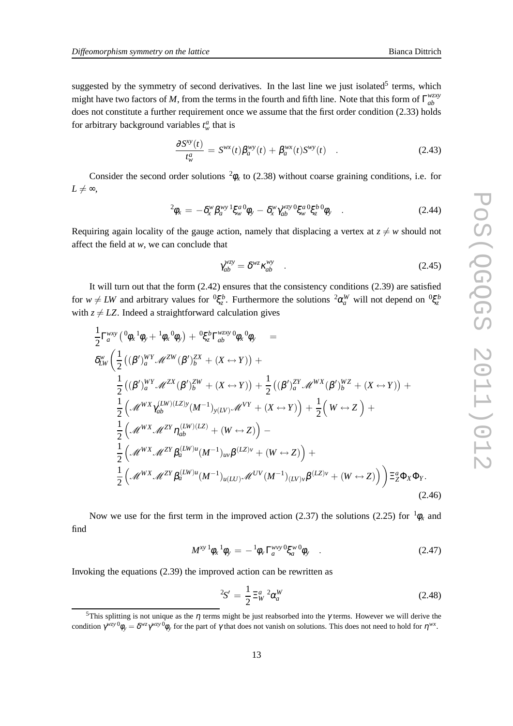suggested by the symmetry of second derivatives. In the last line we just isolated<sup>5</sup> terms, which might have two factors of M, from the terms in the fourth and fifth line. Note that this form of  $\Gamma_{ab}^{wxy}$ *ab* does not constitute a further requirement once we assume that the first order condition (2.33) holds for arbitrary background variables  $t_w^a$  that is

$$
\frac{\partial S^{xy}(t)}{t_w^a} = S^{wx}(t)\beta_a^{wy}(t) + \beta_a^{wx}(t)S^{wy}(t) \quad . \tag{2.43}
$$

Consider the second order solutions  ${}^2\phi_x$  to (2.38) without coarse graining conditions, i.e. for  $L \neq \infty$ ,

$$
{}^{2}\phi_{x} = -\delta_{x}^{w} \beta_{a}^{w} {}^{1}\xi_{w}^{a} \phi_{y} - \delta_{x}^{w} \gamma_{ab}^{wzy} {}^{0}\xi_{w}^{a} {}^{0}\xi_{z}^{b} \phi_{y} \quad . \tag{2.44}
$$

Requiring again locality of the gauge action, namely that displacing a vertex at  $z \neq w$  should not affect the field at *w*, we can conclude that

$$
\gamma_{ab}^{wzy} = \delta^{wz} \kappa_{ab}^{wy} \quad . \tag{2.45}
$$

It will turn out that the form (2.42) ensures that the consistency conditions (2.39) are satisfied for  $w \neq LW$  and arbitrary values for  ${}^0\xi_z^b$ . Furthermore the solutions  ${}^2\alpha_a^W$  will not depend on  ${}^0\xi_z^b$ with  $z \neq LZ$ . Indeed a straightforward calculation gives

$$
\frac{1}{2} \Gamma_{a}^{wxy} \left( {}^{0}\phi_{x} {}^{1}\phi_{y} + {}^{1}\phi_{x} {}^{0}\phi_{y} \right) + {}^{0}\xi_{z}^{b} \Gamma_{ab}^{wzy} {}^{0}\phi_{x} {}^{0}\phi_{y} =
$$
\n
$$
\delta_{LW}^{w} \left( \frac{1}{2} \left( (\beta')_{a}^{WY} \mathcal{M}^{ZW} (\beta')_{b}^{ZX} + (X \leftrightarrow Y) \right) + \frac{1}{2} \left( (\beta')_{a}^{ZY} \mathcal{M}^{WX} (\beta')_{b}^{WZ} + (X \leftrightarrow Y) \right) + \frac{1}{2} \left( (\beta')_{a}^{WY} \mathcal{M}^{ZX} (\beta')_{b}^{WZ} + (X \leftrightarrow Y) \right) + \frac{1}{2} \left( \mathcal{M}^{WX} \gamma_{ab}^{(LW)(LZ)y} (M^{-1})_{y(LY)} \mathcal{M}^{VY} + (X \leftrightarrow Y) \right) + \frac{1}{2} \left( W \leftrightarrow Z \right) + \frac{1}{2} \left( \mathcal{M}^{WX} \mathcal{M}^{ZY} \eta_{ab}^{(LW)(LZ)} + (W \leftrightarrow Z) \right) - \frac{1}{2} \left( \mathcal{M}^{WX} \mathcal{M}^{ZY} \beta_{a}^{(LW)u} (M^{-1})_{uv} \beta^{(LZ)v} + (W \leftrightarrow Z) \right) + \frac{1}{2} \left( \mathcal{M}^{WX} \mathcal{M}^{ZY} \beta_{a}^{(LW)u} (M^{-1})_{u(LU)} \mathcal{M}^{UV} (M^{-1})_{(LV)v} \beta^{(LZ)v} + (W \leftrightarrow Z) \right) \right) \Xi_{Z}^{a} \Phi_{X} \Phi_{Y}.
$$
\n(2.46)

Now we use for the first term in the improved action (2.37) the solutions (2.25) for  ${}^{1}\phi_x$  and find

$$
M^{xy}{}^{1}\phi_{x}{}^{1}\phi_{y} = -{}^{1}\phi_{v}\Gamma_{a}^{wvy}{}^{0}\xi_{a}^{w}{}^{0}\phi_{y} \quad . \tag{2.47}
$$

Invoking the equations (2.39) the improved action can be rewritten as

$$
{}^{2}S' = \frac{1}{2} \Xi_{W}^{a} {}^{2} \alpha_{a}^{W} \tag{2.48}
$$

<sup>&</sup>lt;sup>5</sup>This splitting is not unique as the  $\eta$  terms might be just reabsorbed into the  $\gamma$  terms. However we will derive the condition  $\gamma^{wzy}{}^0\phi_y = \delta^{wz}\gamma^{wzy}{}^0\phi_y$  for the part of  $\gamma$  that does not vanish on solutions. This does not need to hold for  $\eta^{wx}$ .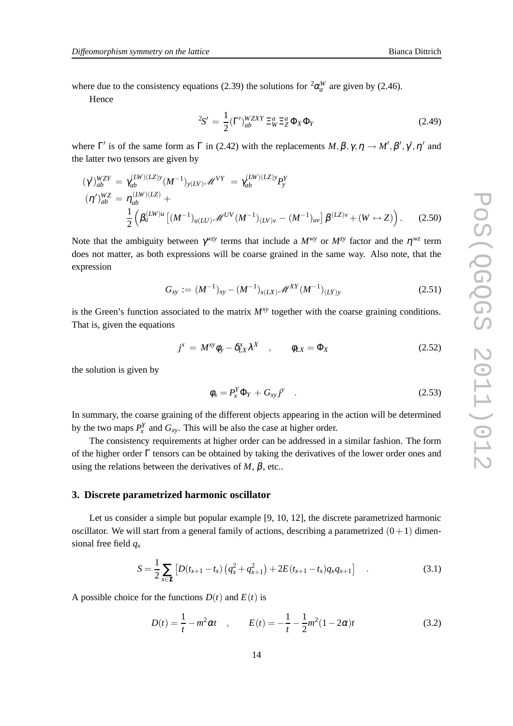where due to the consistency equations (2.39) the solutions for  ${}^{2}\alpha_{a}^{W}$  are given by (2.46).

Hence

$$
{}^{2}S' = \frac{1}{2}(\Gamma')^{WZXY}_{ab} \Xi^{a}_{W} \Xi^{a}_{Z} \Phi_{X} \Phi_{Y}
$$
 (2.49)

where  $\Gamma'$  is of the same form as  $\Gamma$  in (2.42) with the replacements  $M, \beta, \gamma, \eta \to M', \beta', \gamma', \eta'$  and the latter two tensors are given by

$$
(\gamma')_{ab}^{WZY} = \gamma_{ab}^{(LW)(LZ)y} (M^{-1})_{y(LV)} \mathcal{M}^{VY} = \gamma_{ab}^{(LW)(LZ)y} P_y^Y
$$
  
\n
$$
(\eta')_{ab}^{WZ} = \eta_{ab}^{(LW)(LZ)} + \frac{1}{2} \left( \beta_a^{(LW)u} \left[ (M^{-1})_{u(LU)} \mathcal{M}^{UV} (M^{-1})_{(LV)v} - (M^{-1})_{uv} \right] \beta^{(LZ)v} + (W \leftrightarrow Z) \right). \tag{2.50}
$$

Note that the ambiguity between  $\gamma^{wzy}$  terms that include a  $M^{wy}$  or  $M^{zy}$  factor and the  $\eta^{wz}$  term does not matter, as both expressions will be coarse grained in the same way. Also note, that the expression

$$
G_{xy} := (M^{-1})_{xy} - (M^{-1})_{x(LX)} \mathscr{M}^{XY}(M^{-1})_{(LY)y}
$$
\n(2.51)

is the Green's function associated to the matrix  $M^{xy}$  together with the coarse graining conditions. That is, given the equations

$$
j^{x} = M^{xy} \phi_{y} - \delta_{LX}^{x} \lambda^{X} , \qquad \phi_{LX} = \Phi_{X}
$$
 (2.52)

the solution is given by

$$
\phi_x = P_x^Y \Phi_Y + G_{xy} j^y \tag{2.53}
$$

In summary, the coarse graining of the different objects appearing in the action will be determined by the two maps  $P_x^Y$  and  $G_{xy}$ . This will be also the case at higher order.

The consistency requirements at higher order can be addressed in a similar fashion. The form of the higher order Γ tensors can be obtained by taking the derivatives of the lower order ones and using the relations between the derivatives of  $M$ ,  $\beta$ , etc...

#### **3. Discrete parametrized harmonic oscillator**

Let us consider a simple but popular example [9, 10, 12], the discrete parametrized harmonic oscillator. We will start from a general family of actions, describing a parametrized  $(0+1)$  dimensional free field *q<sup>x</sup>*

$$
S = \frac{1}{2} \sum_{x \in \mathcal{X}} \left[ D(t_{x+1} - t_x) \left( q_x^2 + q_{x+1}^2 \right) + 2E(t_{x+1} - t_x) q_x q_{x+1} \right] \quad . \tag{3.1}
$$

A possible choice for the functions  $D(t)$  and  $E(t)$  is

$$
D(t) = \frac{1}{t} - m^2 \alpha t \quad , \qquad E(t) = -\frac{1}{t} - \frac{1}{2} m^2 (1 - 2\alpha) t \tag{3.2}
$$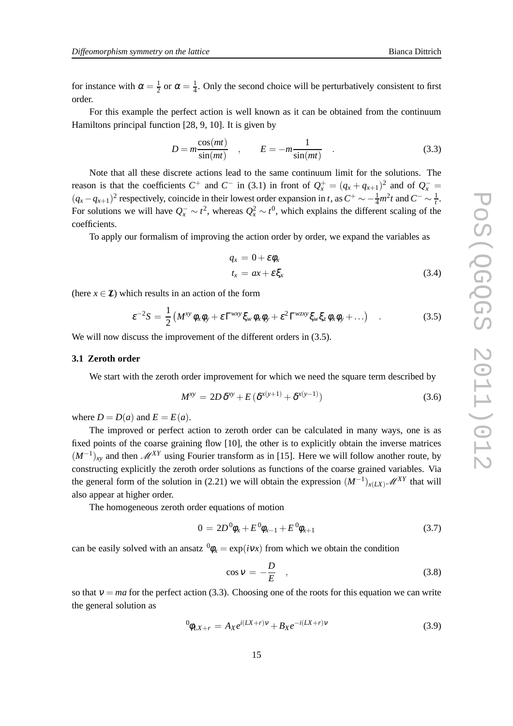for instance with  $\alpha = \frac{1}{2}$  $\frac{1}{2}$  or  $\alpha = \frac{1}{4}$  $\frac{1}{4}$ . Only the second choice will be perturbatively consistent to first order.

For this example the perfect action is well known as it can be obtained from the continuum Hamiltons principal function [28, 9, 10]. It is given by

$$
D = m \frac{\cos(mt)}{\sin(mt)} \quad , \qquad E = -m \frac{1}{\sin(mt)} \quad . \tag{3.3}
$$

Note that all these discrete actions lead to the same continuum limit for the solutions. The reason is that the coefficients  $C^+$  and  $C^-$  in (3.1) in front of  $Q_x^+ = (q_x + q_{x+1})^2$  and of  $Q_x^ (q_x - q_{x+1})^2$  respectively, coincide in their lowest order expansion in *t*, as  $C^+ \sim -\frac{1}{4}m^2t$  and  $C^- \sim \frac{1}{t}$ *t* . For solutions we will have  $Q_x^- \sim t^2$ , whereas  $Q_x^2 \sim t^0$ , which explains the different scaling of the coefficients.

To apply our formalism of improving the action order by order, we expand the variables as

$$
q_x = 0 + \varepsilon \phi_x \n t_x = ax + \varepsilon \xi_x
$$
\n(3.4)

(here  $x \in \mathbb{Z}$ ) which results in an action of the form

$$
\varepsilon^{-2}S = \frac{1}{2} \left( M^{xy} \phi_x \phi_y + \varepsilon \Gamma^{wxy} \xi_w \phi_x \phi_y + \varepsilon^2 \Gamma^{wzy} \xi_w \xi_z \phi_x \phi_y + \ldots \right) \quad . \tag{3.5}
$$

We will now discuss the improvement of the different orders in  $(3.5)$ .

#### **3.1 Zeroth order**

We start with the zeroth order improvement for which we need the square term described by

$$
M^{xy} = 2D\,\delta^{xy} + E\left(\delta^{x(y+1)} + \delta^{x(y-1)}\right) \tag{3.6}
$$

where  $D = D(a)$  and  $E = E(a)$ .

The improved or perfect action to zeroth order can be calculated in many ways, one is as fixed points of the coarse graining flow [10], the other is to explicitly obtain the inverse matrices  $(M^{-1})_{xy}$  and then  $\mathscr{M}^{XY}$  using Fourier transform as in [15]. Here we will follow another route, by constructing explicitly the zeroth order solutions as functions of the coarse grained variables. Via the general form of the solution in (2.21) we will obtain the expression  $(M^{-1})_{x(LX)}$  *M*<sup>XY</sup> that will also appear at higher order.

The homogeneous zeroth order equations of motion

$$
0 = 2D^0 \phi_x + E^0 \phi_{x-1} + E^0 \phi_{x+1}
$$
\n(3.7)

can be easily solved with an ansatz  ${}^0\phi_x = \exp(i\nu x)$  from which we obtain the condition

$$
\cos v = -\frac{D}{E} \quad , \tag{3.8}
$$

so that  $v = ma$  for the perfect action (3.3). Choosing one of the roots for this equation we can write the general solution as

$$
{}^{0}\phi_{LX+r} = A_{X}e^{i(LX+r)\nu} + B_{X}e^{-i(LX+r)\nu} \tag{3.9}
$$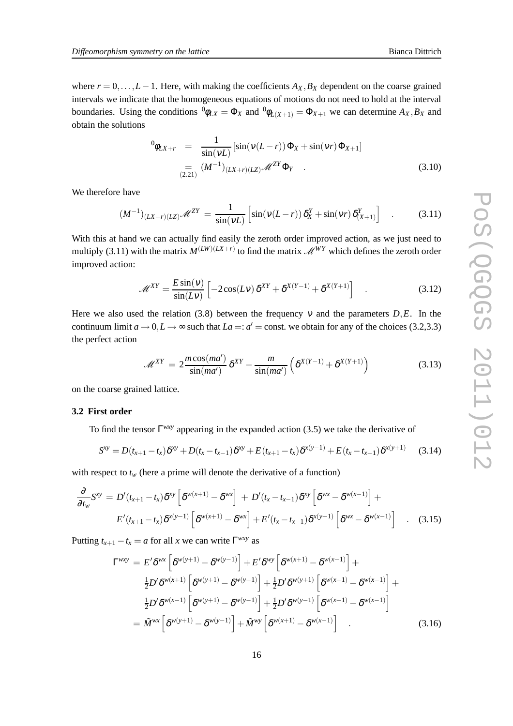where  $r = 0, \ldots, L-1$ . Here, with making the coefficients  $A_X, B_X$  dependent on the coarse grained intervals we indicate that the homogeneous equations of motions do not need to hold at the interval boundaries. Using the conditions  ${}^0\phi_{LX} = \Phi_X$  and  ${}^0\phi_{L(X+1)} = \Phi_{X+1}$  we can determine  $A_X, B_X$  and obtain the solutions

$$
\Phi_{UX+r} = \frac{1}{\sin(\nu L)} [\sin(\nu (L-r)) \Phi_X + \sin(\nu r) \Phi_{X+1}]
$$
  

$$
(\frac{1}{2.21}) (\frac{M^{-1}}{LX+r)(LZ)} \mathscr{M}^{ZY} \Phi_Y .
$$
 (3.10)

We therefore have

$$
(M^{-1})_{(LX+r)(LZ)} \mathscr{M}^{ZY} = \frac{1}{\sin(\nu L)} \left[ \sin(\nu(L-r)) \, \delta_X^Y + \sin(\nu r) \, \delta_{(X+1)}^Y \right] \quad . \tag{3.11}
$$

With this at hand we can actually find easily the zeroth order improved action, as we just need to multiply (3.11) with the matrix  $M^{(LW)(LX+r)}$  to find the matrix  $\mathscr{M}^{WY}$  which defines the zeroth order improved action:

$$
\mathcal{M}^{XY} = \frac{E \sin(v)}{\sin(Lv)} \left[ -2\cos(Lv) \, \delta^{XY} + \delta^{X(Y-1)} + \delta^{X(Y+1)} \right] \tag{3.12}
$$

Here we also used the relation (3.8) between the frequency  $v$  and the parameters  $D, E$ . In the continuum limit  $a \to 0, L \to \infty$  such that  $La =: a' = \text{const.}$  we obtain for any of the choices (3.2,3.3) the perfect action

$$
\mathcal{M}^{XY} = 2 \frac{m \cos(ma')}{\sin(ma')} \delta^{XY} - \frac{m}{\sin(ma')} \left( \delta^{X(Y-1)} + \delta^{X(Y+1)} \right)
$$
(3.13)

on the coarse grained lattice.

#### **3.2 First order**

To find the tensor Γ *wxy* appearing in the expanded action (3.5) we take the derivative of

$$
S^{xy} = D(t_{x+1} - t_x)\delta^{xy} + D(t_x - t_{x-1})\delta^{xy} + E(t_{x+1} - t_x)\delta^{x(y-1)} + E(t_x - t_{x-1})\delta^{x(y+1)}
$$
(3.14)

with respect to  $t_w$  (here a prime will denote the derivative of a function)

$$
\frac{\partial}{\partial t_w} S^{xy} = D'(t_{x+1} - t_x) \delta^{xy} \left[ \delta^{w(x+1)} - \delta^{wx} \right] + D'(t_x - t_{x-1}) \delta^{xy} \left[ \delta^{wx} - \delta^{w(x-1)} \right] +
$$
\n
$$
E'(t_{x+1} - t_x) \delta^{x(y-1)} \left[ \delta^{w(x+1)} - \delta^{wx} \right] + E'(t_x - t_{x-1}) \delta^{x(y+1)} \left[ \delta^{wx} - \delta^{w(x-1)} \right] \quad . \tag{3.15}
$$

Putting  $t_{x+1} - t_x = a$  for all *x* we can write  $\Gamma^{wxy}$  as

$$
\Gamma^{wxy} = E' \delta^{wx} \left[ \delta^{w(y+1)} - \delta^{w(y-1)} \right] + E' \delta^{wy} \left[ \delta^{w(x+1)} - \delta^{w(x-1)} \right] + \n\frac{1}{2} D' \delta^{w(x+1)} \left[ \delta^{w(y+1)} - \delta^{w(y-1)} \right] + \frac{1}{2} D' \delta^{w(y+1)} \left[ \delta^{w(x+1)} - \delta^{w(x-1)} \right] + \n\frac{1}{2} D' \delta^{w(x-1)} \left[ \delta^{w(y+1)} - \delta^{w(y-1)} \right] + \frac{1}{2} D' \delta^{w(y-1)} \left[ \delta^{w(x+1)} - \delta^{w(x-1)} \right] \n= \tilde{M}^{wx} \left[ \delta^{w(y+1)} - \delta^{w(y-1)} \right] + \tilde{M}^{wy} \left[ \delta^{w(x+1)} - \delta^{w(x-1)} \right] .
$$
\n(3.16)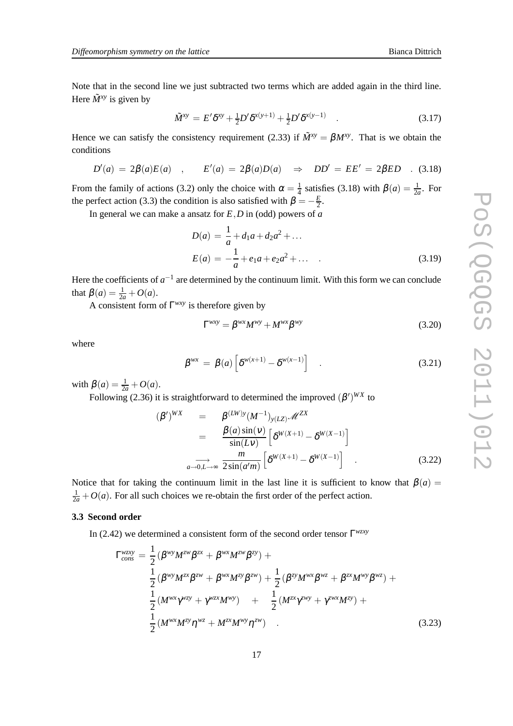Note that in the second line we just subtracted two terms which are added again in the third line. Here  $\tilde{M}^{xy}$  is given by

$$
\tilde{M}^{xy} = E' \delta^{xy} + \frac{1}{2} D' \delta^{x(y+1)} + \frac{1}{2} D' \delta^{x(y-1)} \quad . \tag{3.17}
$$

Hence we can satisfy the consistency requirement (2.33) if  $\tilde{M}^{xy} = \beta M^{xy}$ . That is we obtain the conditions

$$
D'(a) = 2\beta(a)E(a) , \qquad E'(a) = 2\beta(a)D(a) \Rightarrow DD' = EE' = 2\beta ED . \quad (3.18)
$$

From the family of actions (3.2) only the choice with  $\alpha = \frac{1}{4}$  $\frac{1}{4}$  satisfies (3.18) with  $\beta(a) = \frac{1}{2a}$ . For the perfect action (3.3) the condition is also satisfied with  $\beta = -\frac{E}{2}$ .

In general we can make a ansatz for *E*,*D* in (odd) powers of *a*

$$
D(a) = \frac{1}{a} + d_1 a + d_2 a^2 + \dots
$$
  
\n
$$
E(a) = -\frac{1}{a} + e_1 a + e_2 a^2 + \dots
$$
\n(3.19)

Here the coefficients of  $a^{-1}$  are determined by the continuum limit. With this form we can conclude that  $\beta(a) = \frac{1}{2a} + O(a)$ .

A consistent form of Γ *wxy* is therefore given by

$$
\Gamma^{wxy} = \beta^{wx} M^{wy} + M^{wx} \beta^{wy} \tag{3.20}
$$

where

$$
\beta^{wx} = \beta(a) \left[ \delta^{w(x+1)} - \delta^{w(x-1)} \right] \quad . \tag{3.21}
$$

with  $\beta(a) = \frac{1}{2a} + O(a)$ .

Following (2.36) it is straightforward to determined the improved  $(\beta')^{WX}$  to

$$
(\beta')^{WX} = \beta^{(LW)y} (M^{-1})_{y(LZ)} \mathscr{M}^{ZX}
$$
  
\n
$$
= \frac{\beta(a)\sin(v)}{\sin(Lv)} \left[ \delta^{W(X+1)} - \delta^{W(X-1)} \right]
$$
  
\n
$$
\overrightarrow{a \rightarrow 0, L \rightarrow \infty} \frac{m}{2\sin(a'm)} \left[ \delta^{W(X+1)} - \delta^{W(X-1)} \right] .
$$
 (3.22)

Notice that for taking the continuum limit in the last line it is sufficient to know that  $\beta(a)$  =  $\frac{1}{2a} + O(a)$ . For all such choices we re-obtain the first order of the perfect action.

#### **3.3 Second order**

In (2.42) we determined a consistent form of the second order tensor Γ *wzxy*

$$
\Gamma_{cons}^{wzxy} = \frac{1}{2} (\beta^{wy} M^{zw} \beta^{zx} + \beta^{wx} M^{zw} \beta^{zy}) +
$$
  
\n
$$
\frac{1}{2} (\beta^{wy} M^{zx} \beta^{zw} + \beta^{wx} M^{zy} \beta^{zw}) + \frac{1}{2} (\beta^{zy} M^{wx} \beta^{wz} + \beta^{zx} M^{wy} \beta^{wz}) +
$$
  
\n
$$
\frac{1}{2} (M^{wx} \gamma^{wzy} + \gamma^{wzx} M^{wy}) + \frac{1}{2} (M^{zx} \gamma^{zwy} + \gamma^{zwx} M^{zy}) +
$$
  
\n
$$
\frac{1}{2} (M^{wx} M^{zy} \eta^{wz} + M^{zx} M^{wy} \eta^{zw})
$$
\n(3.23)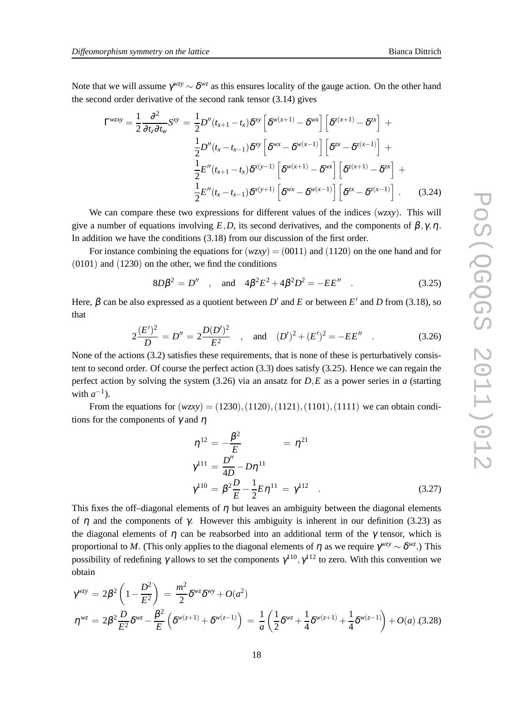Note that we will assume  $\gamma_{\text{max}} \sim \delta_{\text{max}}$  as this ensures locality of the gauge action. On the other hand the second order derivative of the second rank tensor (3.14) gives

$$
\Gamma^{wzxy} = \frac{1}{2} \frac{\partial^2}{\partial t_z \partial t_w} S^{xy} = \frac{1}{2} D''(t_{x+1} - t_x) \delta^{xy} \left[ \delta^{w(x+1)} - \delta^{wx} \right] \left[ \delta^{z(x+1)} - \delta^{zx} \right] +
$$
  

$$
\frac{1}{2} D''(t_x - t_{x-1}) \delta^{xy} \left[ \delta^{wx} - \delta^{w(x-1)} \right] \left[ \delta^{zx} - \delta^{z(x-1)} \right] +
$$
  

$$
\frac{1}{2} E''(t_{x+1} - t_x) \delta^{x(y-1)} \left[ \delta^{w(x+1)} - \delta^{wx} \right] \left[ \delta^{z(x+1)} - \delta^{zx} \right] +
$$
  

$$
\frac{1}{2} E''(t_x - t_{x-1}) \delta^{x(y+1)} \left[ \delta^{wx} - \delta^{w(x-1)} \right] \left[ \delta^{zx} - \delta^{z(x-1)} \right].
$$
 (3.24)

We can compare these two expressions for different values of the indices (*wzxy*). This will give a number of equations involving  $E$ ,*D*, its second derivatives, and the components of  $\beta$ ,  $\gamma$ ,  $\eta$ . In addition we have the conditions (3.18) from our discussion of the first order.

For instance combining the equations for  $(wzxy) = (0011)$  and (1120) on the one hand and for (0101) and (1230) on the other, we find the conditions

$$
8D\beta^2 = D'' \quad , \quad \text{and} \quad 4\beta^2 E^2 + 4\beta^2 D^2 = -E E'' \quad . \tag{3.25}
$$

Here,  $\beta$  can be also expressed as a quotient between  $D'$  and  $E$  or between  $E'$  and  $D$  from (3.18), so that

$$
2\frac{(E')^{2}}{D} = D'' = 2\frac{D(D')^{2}}{E^{2}} , \text{ and } (D')^{2} + (E')^{2} = -EE'' .
$$
 (3.26)

None of the actions (3.2) satisfies these requirements, that is none of these is perturbatively consistent to second order. Of course the perfect action (3.3) does satisfy (3.25). Hence we can regain the perfect action by solving the system (3.26) via an ansatz for *D*,*E* as a power series in *a* (starting with  $a^{-1}$ ).

From the equations for  $(wzxy) = (1230), (1120), (1121), (1101), (1111)$  we can obtain conditions for the components of  $\gamma$  and  $\eta$ 

$$
\eta^{12} = -\frac{\beta^2}{E} = \eta^{21}
$$
  
\n
$$
\gamma^{111} = \frac{D''}{4D} - D\eta^{11}
$$
  
\n
$$
\gamma^{110} = \beta^2 \frac{D}{E} - \frac{1}{2} E \eta^{11} = \gamma^{112}
$$
 (3.27)

This fixes the off-diagonal elements of  $\eta$  but leaves an ambiguity between the diagonal elements of  $η$  and the components of γ. However this ambiguity is inherent in our definition (3.23) as the diagonal elements of  $\eta$  can be reabsorbed into an additional term of the  $\gamma$  tensor, which is proportional to *M*. (This only applies to the diagonal elements of η as we require  $\gamma^{wzy} \sim \delta^{wz}$ .) This possibility of redefining  $\gamma$  allows to set the components  $\gamma^{110}, \gamma^{112}$  to zero. With this convention we obtain

$$
\gamma^{wzy} = 2\beta^2 \left( 1 - \frac{D^2}{E^2} \right) = \frac{m^2}{2} \delta^{wz} \delta^{wy} + O(a^2)
$$
  

$$
\eta^{wz} = 2\beta^2 \frac{D}{E^2} \delta^{wz} - \frac{\beta^2}{E} \left( \delta^{w(z+1)} + \delta^{w(z-1)} \right) = \frac{1}{a} \left( \frac{1}{2} \delta^{wz} + \frac{1}{4} \delta^{w(z+1)} + \frac{1}{4} \delta^{w(z-1)} \right) + O(a) .(3.28)
$$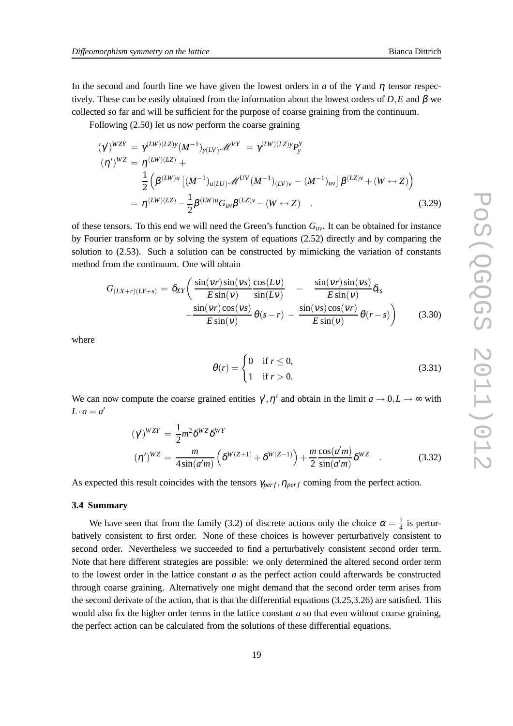Following (2.50) let us now perform the coarse graining

$$
(\gamma')^{WZY} = \gamma^{(LW)(LZ)y} (M^{-1})_{y(LY)} \mathcal{M}^{VY} = \gamma^{(LW)(LZ)y} P_y^Y
$$
  
\n
$$
(\eta')^{WZ} = \eta^{(LW)(LZ)} + \frac{1}{2} \left( \beta^{(LW)u} \left[ (M^{-1})_{u(LU)} \mathcal{M}^{UV} (M^{-1})_{(LV)v} - (M^{-1})_{uv} \right] \beta^{(LZ)v} + (W \leftrightarrow Z) \right)
$$
  
\n
$$
= \eta^{(LW)(LZ)} - \frac{1}{2} \beta^{(LW)u} G_{uv} \beta^{(LZ)v} - (W \leftrightarrow Z) \quad .
$$
\n(3.29)

of these tensors. To this end we will need the Green's function  $G_{\mu\nu}$ . It can be obtained for instance by Fourier transform or by solving the system of equations (2.52) directly and by comparing the solution to (2.53). Such a solution can be constructed by mimicking the variation of constants method from the continuum. One will obtain

$$
G_{(LX+r)(LY+s)} = \delta_{XY} \left( \frac{\sin(vr)\sin(vs)}{E\sin(v)} \frac{\cos(Lv)}{\sin(Lv)} - \frac{\sin(vr)\sin(vs)}{E\sin(v)} \delta_{rs} - \frac{\sin(vr)\cos(vs)}{E\sin(v)} \theta(s-r) - \frac{\sin(vs)\cos(vr)}{E\sin(v)} \theta(r-s) \right)
$$
(3.30)

where

$$
\theta(r) = \begin{cases} 0 & \text{if } r \le 0, \\ 1 & \text{if } r > 0. \end{cases} \tag{3.31}
$$

We can now compute the coarse grained entities  $\gamma', \eta'$  and obtain in the limit  $a \to 0, L \to \infty$  with  $L \cdot a = a'$ 

$$
(\gamma)^{WZY} = \frac{1}{2} m^2 \delta^{WZ} \delta^{WY}
$$

$$
(\eta')^{WZ} = \frac{m}{4 \sin(a'm)} \left( \delta^{W(Z+1)} + \delta^{W(Z-1)} \right) + \frac{m \cos(a'm)}{2 \sin(a'm)} \delta^{WZ} \quad . \tag{3.32}
$$

As expected this result coincides with the tensors  $\gamma_{perf}$ ,  $\eta_{perf}$  coming from the perfect action.

#### **3.4 Summary**

We have seen that from the family (3.2) of discrete actions only the choice  $\alpha = \frac{1}{4}$  $\frac{1}{4}$  is perturbatively consistent to first order. None of these choices is however perturbatively consistent to second order. Nevertheless we succeeded to find a perturbatively consistent second order term. Note that here different strategies are possible: we only determined the altered second order term to the lowest order in the lattice constant *a* as the perfect action could afterwards be constructed through coarse graining. Alternatively one might demand that the second order term arises from the second derivate of the action, that is that the differential equations  $(3.25,3.26)$  are satisfied. This would also fix the higher order terms in the lattice constant *a* so that even without coarse graining, the perfect action can be calculated from the solutions of these differential equations.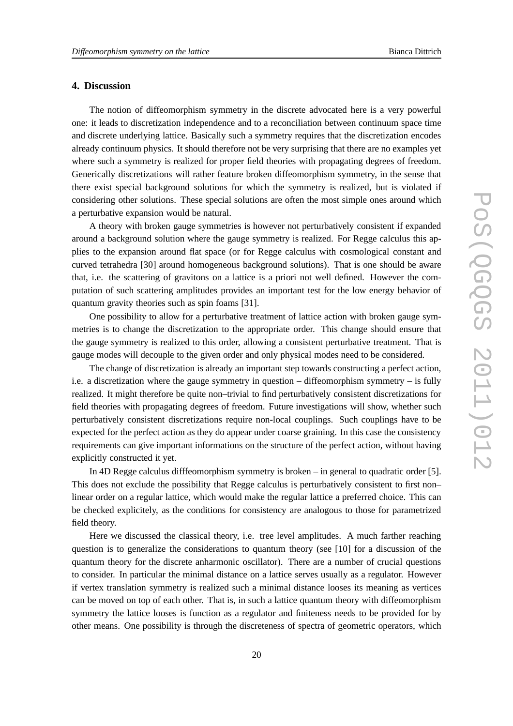### **4. Discussion**

The notion of diffeomorphism symmetry in the discrete advocated here is a very powerful one: it leads to discretization independence and to a reconciliation between continuum space time and discrete underlying lattice. Basically such a symmetry requires that the discretization encodes already continuum physics. It should therefore not be very surprising that there are no examples yet where such a symmetry is realized for proper field theories with propagating degrees of freedom. Generically discretizations will rather feature broken diffeomorphism symmetry, in the sense that there exist special background solutions for which the symmetry is realized, but is violated if considering other solutions. These special solutions are often the most simple ones around which a perturbative expansion would be natural.

A theory with broken gauge symmetries is however not perturbatively consistent if expanded around a background solution where the gauge symmetry is realized. For Regge calculus this applies to the expansion around flat space (or for Regge calculus with cosmological constant and curved tetrahedra [30] around homogeneous background solutions). That is one should be aware that, i.e. the scattering of gravitons on a lattice is a priori not well defined. However the computation of such scattering amplitudes provides an important test for the low energy behavior of quantum gravity theories such as spin foams [31].

One possibility to allow for a perturbative treatment of lattice action with broken gauge symmetries is to change the discretization to the appropriate order. This change should ensure that the gauge symmetry is realized to this order, allowing a consistent perturbative treatment. That is gauge modes will decouple to the given order and only physical modes need to be considered.

The change of discretization is already an important step towards constructing a perfect action, i.e. a discretization where the gauge symmetry in question – diffeomorphism symmetry – is fully realized. It might therefore be quite non–trivial to find perturbatively consistent discretizations for field theories with propagating degrees of freedom. Future investigations will show, whether such perturbatively consistent discretizations require non-local couplings. Such couplings have to be expected for the perfect action as they do appear under coarse graining. In this case the consistency requirements can give important informations on the structure of the perfect action, without having explicitly constructed it yet.

In 4D Regge calculus difffeomorphism symmetry is broken – in general to quadratic order [5]. This does not exclude the possibility that Regge calculus is perturbatively consistent to first non– linear order on a regular lattice, which would make the regular lattice a preferred choice. This can be checked explicitely, as the conditions for consistency are analogous to those for parametrized field theory.

Here we discussed the classical theory, i.e. tree level amplitudes. A much farther reaching question is to generalize the considerations to quantum theory (see [10] for a discussion of the quantum theory for the discrete anharmonic oscillator). There are a number of crucial questions to consider. In particular the minimal distance on a lattice serves usually as a regulator. However if vertex translation symmetry is realized such a minimal distance looses its meaning as vertices can be moved on top of each other. That is, in such a lattice quantum theory with diffeomorphism symmetry the lattice looses is function as a regulator and finiteness needs to be provided for by other means. One possibility is through the discreteness of spectra of geometric operators, which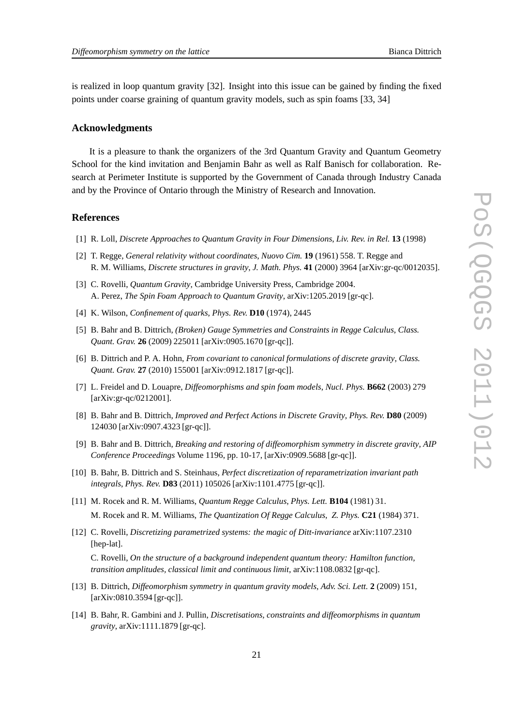is realized in loop quantum gravity [32]. Insight into this issue can be gained by finding the fixed points under coarse graining of quantum gravity models, such as spin foams [33, 34]

#### **Acknowledgments**

It is a pleasure to thank the organizers of the 3rd Quantum Gravity and Quantum Geometry School for the kind invitation and Benjamin Bahr as well as Ralf Banisch for collaboration. Research at Perimeter Institute is supported by the Government of Canada through Industry Canada and by the Province of Ontario through the Ministry of Research and Innovation.

#### **References**

- [1] R. Loll, *Discrete Approaches to Quantum Gravity in Four Dimensions*, *Liv. Rev. in Rel.* **13** (1998)
- [2] T. Regge, *General relativity without coordinates*, *Nuovo Cim.* **19** (1961) 558. T. Regge and R. M. Williams, *Discrete structures in gravity*, *J. Math. Phys.* **41** (2000) 3964 [arXiv:gr-qc/0012035].
- [3] C. Rovelli, *Quantum Gravity*, Cambridge University Press, Cambridge 2004. A. Perez, *The Spin Foam Approach to Quantum Gravity*, arXiv:1205.2019 [gr-qc].
- [4] K. Wilson, *Confinement of quarks*, *Phys. Rev.* **D10** (1974), 2445
- [5] B. Bahr and B. Dittrich, *(Broken) Gauge Symmetries and Constraints in Regge Calculus*, *Class. Quant. Grav.* **26** (2009) 225011 [arXiv:0905.1670 [gr-qc]].
- [6] B. Dittrich and P. A. Hohn, *From covariant to canonical formulations of discrete gravity*, *Class. Quant. Grav.* **27** (2010) 155001 [arXiv:0912.1817 [gr-qc]].
- [7] L. Freidel and D. Louapre, *Diffeomorphisms and spin foam models*, *Nucl. Phys.* **B662** (2003) 279 [arXiv:gr-qc/0212001].
- [8] B. Bahr and B. Dittrich, *Improved and Perfect Actions in Discrete Gravity*, *Phys. Rev.* **D80** (2009) 124030 [arXiv:0907.4323 [gr-qc]].
- [9] B. Bahr and B. Dittrich, *Breaking and restoring of diffeomorphism symmetry in discrete gravity*, *AIP Conference Proceedings* Volume 1196, pp. 10-17, [arXiv:0909.5688 [gr-qc]].
- [10] B. Bahr, B. Dittrich and S. Steinhaus, *Perfect discretization of reparametrization invariant path integrals*, *Phys. Rev.* **D83** (2011) 105026 [arXiv:1101.4775 [gr-qc]].
- [11] M. Rocek and R. M. Williams, *Quantum Regge Calculus*, *Phys. Lett.* **B104** (1981) 31. M. Rocek and R. M. Williams, *The Quantization Of Regge Calculus*, *Z. Phys.* **C21** (1984) 371.
- [12] C. Rovelli, *Discretizing parametrized systems: the magic of Ditt-invariance* arXiv:1107.2310 [hep-lat].

C. Rovelli, *On the structure of a background independent quantum theory: Hamilton function, transition amplitudes, classical limit and continuous limit*, arXiv:1108.0832 [gr-qc].

- [13] B. Dittrich, *Diffeomorphism symmetry in quantum gravity models*, *Adv. Sci. Lett.* **2** (2009) 151, [arXiv:0810.3594 [gr-qc]].
- [14] B. Bahr, R. Gambini and J. Pullin, *Discretisations, constraints and diffeomorphisms in quantum gravity*, arXiv:1111.1879 [gr-qc].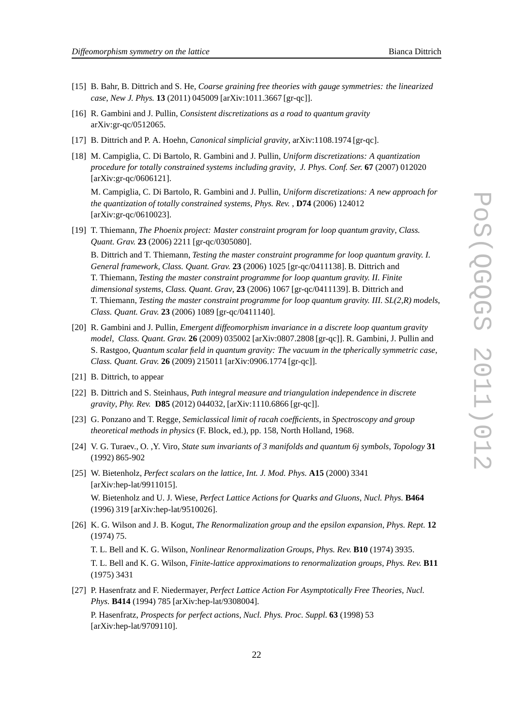- [15] B. Bahr, B. Dittrich and S. He, *Coarse graining free theories with gauge symmetries: the linearized case*, *New J. Phys.* **13** (2011) 045009 [arXiv:1011.3667 [gr-qc]].
- [16] R. Gambini and J. Pullin, *Consistent discretizations as a road to quantum gravity* arXiv:gr-qc/0512065.
- [17] B. Dittrich and P. A. Hoehn, *Canonical simplicial gravity*, arXiv:1108.1974 [gr-qc].
- [18] M. Campiglia, C. Di Bartolo, R. Gambini and J. Pullin, *Uniform discretizations: A quantization procedure for totally constrained systems including gravity*, *J. Phys. Conf. Ser.* **67** (2007) 012020 [arXiv:gr-qc/0606121].

M. Campiglia, C. Di Bartolo, R. Gambini and J. Pullin, *Uniform discretizations: A new approach for the quantization of totally constrained systems*, *Phys. Rev.* , **D74** (2006) 124012 [arXiv:gr-qc/0610023].

[19] T. Thiemann, *The Phoenix project: Master constraint program for loop quantum gravity*, *Class. Quant. Grav.* **23** (2006) 2211 [gr-qc/0305080].

B. Dittrich and T. Thiemann, *Testing the master constraint programme for loop quantum gravity. I. General framework*, *Class. Quant. Grav.* **23** (2006) 1025 [gr-qc/0411138]. B. Dittrich and T. Thiemann, *Testing the master constraint programme for loop quantum gravity. II. Finite dimensional systems*, *Class. Quant. Grav*, **23** (2006) 1067 [gr-qc/0411139]. B. Dittrich and T. Thiemann, *Testing the master constraint programme for loop quantum gravity. III. SL(2,R) models*, *Class. Quant. Grav.* **23** (2006) 1089 [gr-qc/0411140].

- [20] R. Gambini and J. Pullin, *Emergent diffeomorphism invariance in a discrete loop quantum gravity model*, *Class. Quant. Grav.* **26** (2009) 035002 [arXiv:0807.2808 [gr-qc]]. R. Gambini, J. Pullin and S. Rastgoo, *Quantum scalar field in quantum gravity: The vacuum in the tpherically symmetric case*, *Class. Quant. Grav.* **26** (2009) 215011 [arXiv:0906.1774 [gr-qc]].
- [21] B. Dittrich, to appear
- [22] B. Dittrich and S. Steinhaus, *Path integral measure and triangulation independence in discrete gravity*, *Phy. Rev.* **D85** (2012) 044032, [arXiv:1110.6866 [gr-qc]].
- [23] G. Ponzano and T. Regge, *Semiclassical limit of racah coefficients*, in *Spectroscopy and group theoretical methods in physics* (F. Block, ed.), pp. 158, North Holland, 1968.
- [24] V. G. Turaev., O. ,Y. Viro, *State sum invariants of 3 manifolds and quantum 6j symbols*, *Topology* **31** (1992) 865-902
- [25] W. Bietenholz, *Perfect scalars on the lattice*, *Int. J. Mod. Phys.* **A15** (2000) 3341 [arXiv:hep-lat/9911015].

W. Bietenholz and U. J. Wiese, *Perfect Lattice Actions for Quarks and Gluons*, *Nucl. Phys.* **B464** (1996) 319 [arXiv:hep-lat/9510026].

[26] K. G. Wilson and J. B. Kogut, *The Renormalization group and the epsilon expansion*, *Phys. Rept.* **12** (1974) 75.

T. L. Bell and K. G. Wilson, *Nonlinear Renormalization Groups*, *Phys. Rev.* **B10** (1974) 3935.

T. L. Bell and K. G. Wilson, *Finite-lattice approximations to renormalization groups*, *Phys. Rev.* **B11** (1975) 3431

[27] P. Hasenfratz and F. Niedermayer, *Perfect Lattice Action For Asymptotically Free Theories*, *Nucl. Phys.* **B414** (1994) 785 [arXiv:hep-lat/9308004].

P. Hasenfratz, *Prospects for perfect actions*, *Nucl. Phys. Proc. Suppl.* **63** (1998) 53 [arXiv:hep-lat/9709110].